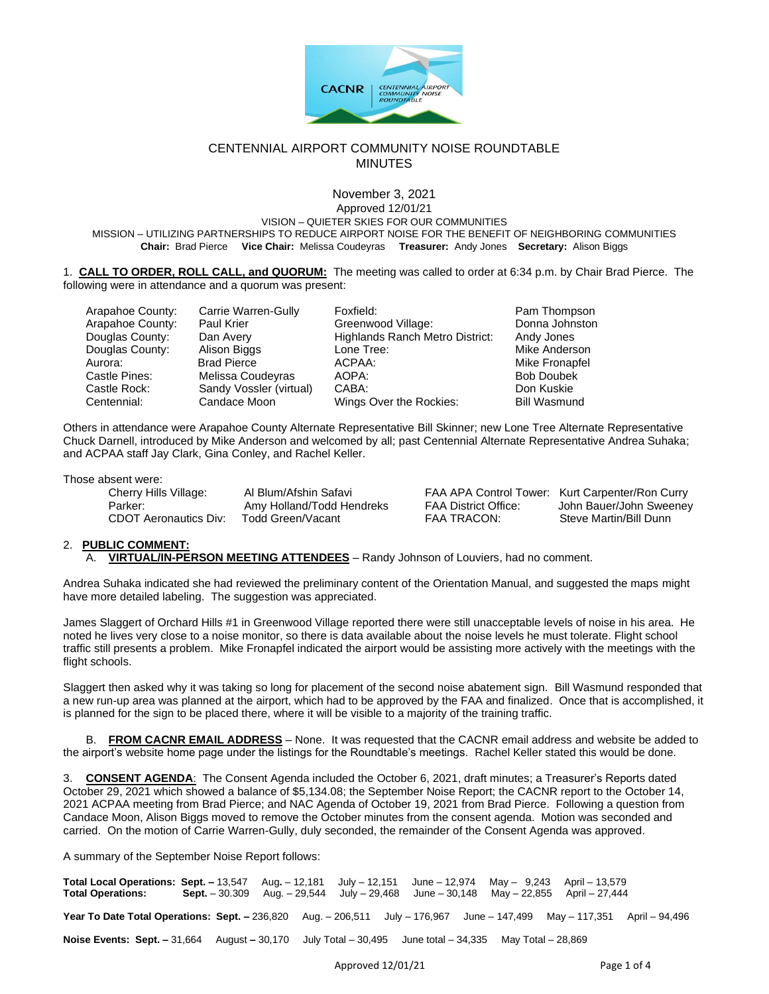

### CENTENNIAL AIRPORT COMMUNITY NOISE ROUNDTABLE **MINUTES**

#### November 3, 2021 Approved 12/01/21

VISION – QUIETER SKIES FOR OUR COMMUNITIES MISSION – UTILIZING PARTNERSHIPS TO REDUCE AIRPORT NOISE FOR THE BENEFIT OF NEIGHBORING COMMUNITIES **Chair:** Brad Pierce **Vice Chair:** Melissa Coudeyras **Treasurer:** Andy Jones **Secretary:** Alison Biggs

1. **CALL TO ORDER, ROLL CALL, and QUORUM:** The meeting was called to order at 6:34 p.m. by Chair Brad Pierce. The following were in attendance and a quorum was present:

| Arapahoe County: | Carrie Warren-Gully     | Foxfield:                       | Pam Thompson        |
|------------------|-------------------------|---------------------------------|---------------------|
| Arapahoe County: | Paul Krier              | Greenwood Village:              | Donna Johnston      |
| Douglas County:  | Dan Avery               | Highlands Ranch Metro District: | Andy Jones          |
| Douglas County:  | Alison Biggs            | Lone Tree:                      | Mike Anderson       |
| Aurora:          | <b>Brad Pierce</b>      | ACPAA:                          | Mike Fronapfel      |
| Castle Pines:    | Melissa Coudeyras       | AOPA:                           | <b>Bob Doubek</b>   |
| Castle Rock:     | Sandy Vossler (virtual) | CABA:                           | Don Kuskie          |
| Centennial:      | Candace Moon            | Wings Over the Rockies:         | <b>Bill Wasmund</b> |

Others in attendance were Arapahoe County Alternate Representative Bill Skinner; new Lone Tree Alternate Representative Chuck Darnell, introduced by Mike Anderson and welcomed by all; past Centennial Alternate Representative Andrea Suhaka; and ACPAA staff Jay Clark, Gina Conley, and Rachel Keller.

Those absent were:

| Cherry Hills Village:        | Al Blum/Afshin Safavi     |  |  |  |  |
|------------------------------|---------------------------|--|--|--|--|
| Parker:                      | Amy Holland/Todd Hendreks |  |  |  |  |
| <b>CDOT Aeronautics Div:</b> | Todd Green/Vacant         |  |  |  |  |

FAA APA Control Tower: Kurt Carpenter/Ron Curry Parker: Amy Holland District Office: John Bauer/John Sweeney<br>Parker Steve Martin/Bill Dunn Steve Martin/Bill Dunn

## 2. **PUBLIC COMMENT:**

A. **VIRTUAL/IN-PERSON MEETING ATTENDEES** – Randy Johnson of Louviers, had no comment.

Andrea Suhaka indicated she had reviewed the preliminary content of the Orientation Manual, and suggested the maps might have more detailed labeling. The suggestion was appreciated.

James Slaggert of Orchard Hills #1 in Greenwood Village reported there were still unacceptable levels of noise in his area. He noted he lives very close to a noise monitor, so there is data available about the noise levels he must tolerate. Flight school traffic still presents a problem. Mike Fronapfel indicated the airport would be assisting more actively with the meetings with the flight schools.

Slaggert then asked why it was taking so long for placement of the second noise abatement sign. Bill Wasmund responded that a new run-up area was planned at the airport, which had to be approved by the FAA and finalized. Once that is accomplished, it is planned for the sign to be placed there, where it will be visible to a majority of the training traffic.

B. **FROM CACNR EMAIL ADDRESS** – None. It was requested that the CACNR email address and website be added to the airport's website home page under the listings for the Roundtable's meetings. Rachel Keller stated this would be done.

3. **CONSENT AGENDA**: The Consent Agenda included the October 6, 2021, draft minutes; a Treasurer's Reports dated October 29, 2021 which showed a balance of \$5,134.08; the September Noise Report; the CACNR report to the October 14, 2021 ACPAA meeting from Brad Pierce; and NAC Agenda of October 19, 2021 from Brad Pierce. Following a question from Candace Moon, Alison Biggs moved to remove the October minutes from the consent agenda. Motion was seconded and carried. On the motion of Carrie Warren-Gully, duly seconded, the remainder of the Consent Agenda was approved.

A summary of the September Noise Report follows:

**Total Local Operations: Sept. –** 13,547 Aug**.** – 12,181 July – 12,151 June – 12,974 May – 9,243 April – 13,579 **Total Operations: Sept.** – 30.309 Aug. – 29,544 July – 29,468 June – 30,148 May – 22,855 April – 27,444 **Year To Date Total Operations: Sept. –** 236,820 Aug. – 206,511 July – 176,967 June – 147,499 May – 117,351 April – 94,496 **Noise Events: Sept. –** 31,664August **–** 30,170 July Total – 30,495 June total – 34,335 May Total – 28,869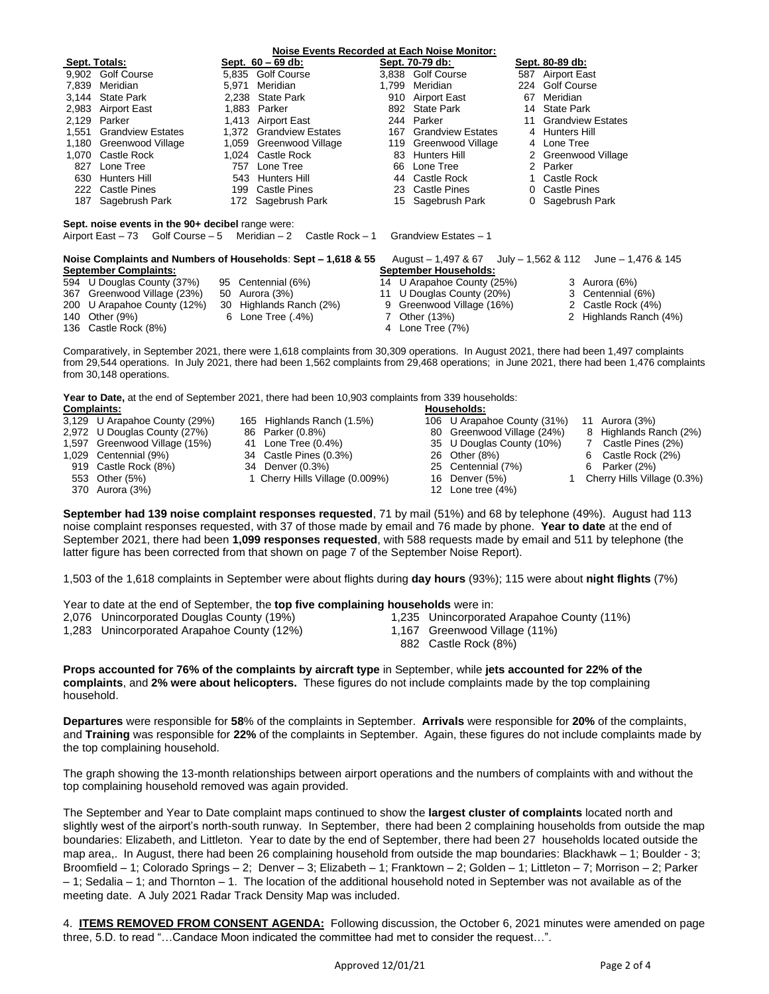| <b>Noise Events Recorded at Each Noise Monitor:</b>                                                                                                                                                                                                                                                                                                     |                             |       |                         |       |                            |                      |                                  |
|---------------------------------------------------------------------------------------------------------------------------------------------------------------------------------------------------------------------------------------------------------------------------------------------------------------------------------------------------------|-----------------------------|-------|-------------------------|-------|----------------------------|----------------------|----------------------------------|
|                                                                                                                                                                                                                                                                                                                                                         | Sept. Totals:               |       | Sept. 60 - 69 db:       |       | Sept. 70-79 db:            |                      | Sept. 80-89 db:                  |
|                                                                                                                                                                                                                                                                                                                                                         | 9,902 Golf Course           |       | 5.835 Golf Course       |       | 3.838 Golf Course          |                      | 587 Airport East                 |
|                                                                                                                                                                                                                                                                                                                                                         | 7.839 Meridian              | 5.971 | Meridian                | 1,799 | Meridian                   |                      | 224 Golf Course                  |
|                                                                                                                                                                                                                                                                                                                                                         | 3,144 State Park            |       | 2,238 State Park        | 910   | Airport East               | 67                   | Meridian                         |
|                                                                                                                                                                                                                                                                                                                                                         | 2,983 Airport East          |       | 1.883 Parker            |       | 892 State Park             | 14                   | <b>State Park</b>                |
|                                                                                                                                                                                                                                                                                                                                                         | 2,129 Parker                |       | 1,413 Airport East      |       | 244 Parker                 | 11                   | <b>Grandview Estates</b>         |
|                                                                                                                                                                                                                                                                                                                                                         | 1.551 Grandview Estates     |       | 1.372 Grandview Estates |       | 167 Grandview Estates      |                      | 4 Hunters Hill                   |
|                                                                                                                                                                                                                                                                                                                                                         | 1,180 Greenwood Village     |       | 1,059 Greenwood Village |       | 119 Greenwood Village      | 4                    | Lone Tree                        |
|                                                                                                                                                                                                                                                                                                                                                         | 1.070 Castle Rock           |       | 1.024 Castle Rock       |       | 83 Hunters Hill            | $\mathbf{2}^{\circ}$ | Greenwood Village                |
| 827                                                                                                                                                                                                                                                                                                                                                     | Lone Tree                   | 757   | Lone Tree               |       | 66 Lone Tree               |                      | 2 Parker                         |
|                                                                                                                                                                                                                                                                                                                                                         | 630 Hunters Hill            |       | 543 Hunters Hill        |       | 44 Castle Rock             | $\mathbf{1}$         | Castle Rock                      |
|                                                                                                                                                                                                                                                                                                                                                         | 222 Castle Pines            |       | 199 Castle Pines        |       | 23 Castle Pines            |                      | 0 Castle Pines                   |
|                                                                                                                                                                                                                                                                                                                                                         | 187 Sagebrush Park          |       | 172 Sagebrush Park      |       | 15 Sagebrush Park          |                      | 0 Sagebrush Park                 |
| Sept. noise events in the 90+ decibel range were:<br>Golf Course $-5$ Meridian $-2$ Castle Rock $-1$<br>Grandview Estates - 1<br>Airport East - 73<br>Noise Complaints and Numbers of Households: Sept – 1,618 & 55<br>August $-1,497$ & 67 July $-1,562$ & 112<br>June $- 1,476$ & 145<br><b>September Complaints:</b><br><b>September Households:</b> |                             |       |                         |       |                            |                      |                                  |
|                                                                                                                                                                                                                                                                                                                                                         | 594 U Douglas County (37%)  |       | 95 Centennial (6%)      |       | 14 U Arapahoe County (25%) |                      | 3 Aurora (6%)                    |
|                                                                                                                                                                                                                                                                                                                                                         | 367 Greenwood Village (23%) | 50    | Aurora (3%)             |       | 11 U Douglas County (20%)  |                      | 3 Centennial (6%)                |
|                                                                                                                                                                                                                                                                                                                                                         | 200 U Arapahoe County (12%) | 30    | Highlands Ranch (2%)    | 9     | Greenwood Village (16%)    |                      | Castle Rock (4%)<br>$\mathbf{2}$ |
|                                                                                                                                                                                                                                                                                                                                                         | 140 Other (9%)              | 6     | Lone Tree (.4%)         | 7     | Other (13%)                |                      | 2 Highlands Ranch (4%)           |
|                                                                                                                                                                                                                                                                                                                                                         | 136 Castle Rock (8%)        |       |                         |       | 4 Lone Tree (7%)           |                      |                                  |
| Comparatively, in September 2021, there were 1,618 complaints from 30,309 operations. In August 2021, there had been 1,497 complaints<br>from 29,544 operations. In July 2021, there had been 1,562 complaints from 29,468 operations; in June 2021, there had been 1,476 complaints<br>from 30,148 operations.                                         |                             |       |                         |       |                            |                      |                                  |
| Year to Date, at the end of September 2021, there had been 10,903 complaints from 339 households:<br><b>Complaints:</b><br>Households:                                                                                                                                                                                                                  |                             |       |                         |       |                            |                      |                                  |

- 3,129 U Arapahoe County (29%) 165 Highlands Ranch (1.5%) 106 U Arapahoe County (31%) 11 Aurora (3%)<br>2.972 U Douglas County (27%) 86 Parker (0.8%) 180 Greenwood Village (24%) 8 Highlands Ra
- 
- 
- 
- 
- 
- 370 Aurora (3%) 12 Lone tree (4%)
- 2,972 U Douglas County (27%) 86 Parker (0.8%) 80 Greenwood Village (24%) 8 Highlands Ranch (2%)
	-
	-
	-
	- 553 Other (5%) 1 Cherry Hills Village (0.009%) 16 Denver (5%)
	- 919 Castle Rock (8%) 34 Denver (0.3%) 35 Centennial (7%) 6 Parker (2%)<br>553 Other (5%) 553 Other (5%) 1 Cherry Hills Village (0.009%) 553 Other (5%) 553 Other (5%)
		-
- 
- 
- 
- 
- 

**September had 139 noise complaint responses requested**, 71 by mail (51%) and 68 by telephone (49%). August had 113 noise complaint responses requested, with 37 of those made by email and 76 made by phone. **Year to date** at the end of September 2021, there had been **1,099 responses requested**, with 588 requests made by email and 511 by telephone (the latter figure has been corrected from that shown on page 7 of the September Noise Report).

1,503 of the 1,618 complaints in September were about flights during **day hours** (93%); 115 were about **night flights** (7%)

| Year to date at the end of September, the top five complaining households were in: |  |  |  |  |
|------------------------------------------------------------------------------------|--|--|--|--|
|------------------------------------------------------------------------------------|--|--|--|--|

- 2,076 Unincorporated Douglas County (19%) 1,235 Unincorporated Arapahoe County (11%)
- 1,283 Unincorporated Arapahoe County (12%) 1,167 Greenwood Village (11%)
- 
- - 882 Castle Rock (8%)

**Props accounted for 76% of the complaints by aircraft type** in September, while **jets accounted for 22% of the complaints**, and **2% were about helicopters.** These figures do not include complaints made by the top complaining household.

**Departures** were responsible for **58**% of the complaints in September. **Arrivals** were responsible for **20%** of the complaints, and **Training** was responsible for **22%** of the complaints in September. Again, these figures do not include complaints made by the top complaining household.

The graph showing the 13-month relationships between airport operations and the numbers of complaints with and without the top complaining household removed was again provided.

The September and Year to Date complaint maps continued to show the **largest cluster of complaints** located north and slightly west of the airport's north-south runway. In September, there had been 2 complaining households from outside the map boundaries: Elizabeth, and Littleton. Year to date by the end of September, there had been 27 households located outside the map area,. In August, there had been 26 complaining household from outside the map boundaries: Blackhawk – 1; Boulder - 3; Broomfield – 1; Colorado Springs – 2; Denver – 3; Elizabeth – 1; Franktown – 2; Golden – 1; Littleton – 7; Morrison – 2; Parker  $-1$ ; Sedalia  $-1$ ; and Thornton  $-1$ . The location of the additional household noted in September was not available as of the meeting date. A July 2021 Radar Track Density Map was included.

4. **ITEMS REMOVED FROM CONSENT AGENDA:** Following discussion, the October 6, 2021 minutes were amended on page three, 5.D. to read "…Candace Moon indicated the committee had met to consider the request…".

1,597 Greenwood Village (15%) 41 Lone Tree (0.4%) 35 U Douglas County (10%) 7 Castle Pines (2%) 34 Castle Pines (0.3%)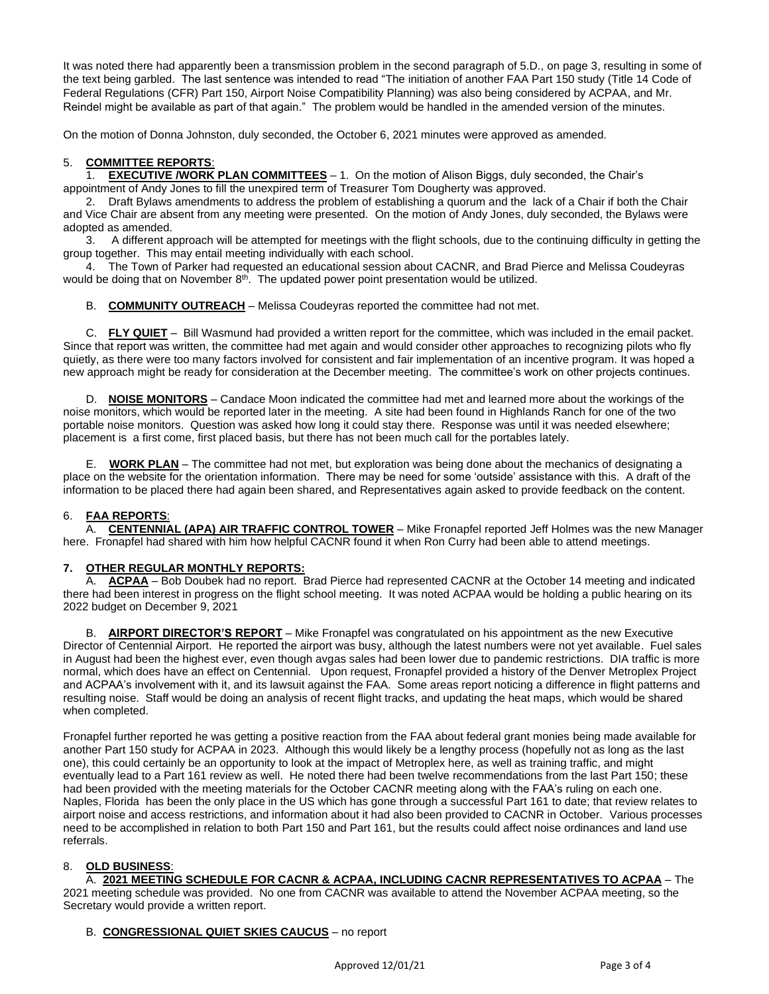It was noted there had apparently been a transmission problem in the second paragraph of 5.D., on page 3, resulting in some of the text being garbled. The last sentence was intended to read "The initiation of another FAA Part 150 study (Title 14 Code of Federal Regulations (CFR) Part 150, Airport Noise Compatibility Planning) was also being considered by ACPAA, and Mr. Reindel might be available as part of that again." The problem would be handled in the amended version of the minutes.

On the motion of Donna Johnston, duly seconded, the October 6, 2021 minutes were approved as amended.

# 5. **COMMITTEE REPORTS**:

1. **EXECUTIVE /WORK PLAN COMMITTEES** – 1. On the motion of Alison Biggs, duly seconded, the Chair's appointment of Andy Jones to fill the unexpired term of Treasurer Tom Dougherty was approved.

2. Draft Bylaws amendments to address the problem of establishing a quorum and the lack of a Chair if both the Chair and Vice Chair are absent from any meeting were presented. On the motion of Andy Jones, duly seconded, the Bylaws were adopted as amended.

3. A different approach will be attempted for meetings with the flight schools, due to the continuing difficulty in getting the group together. This may entail meeting individually with each school.

4. The Town of Parker had requested an educational session about CACNR, and Brad Pierce and Melissa Coudeyras would be doing that on November  $8<sup>th</sup>$ . The updated power point presentation would be utilized.

B. **COMMUNITY OUTREACH** – Melissa Coudeyras reported the committee had not met.

C. **FLY QUIET** – Bill Wasmund had provided a written report for the committee, which was included in the email packet. Since that report was written, the committee had met again and would consider other approaches to recognizing pilots who fly quietly, as there were too many factors involved for consistent and fair implementation of an incentive program. It was hoped a new approach might be ready for consideration at the December meeting. The committee's work on other projects continues.

D. **NOISE MONITORS** – Candace Moon indicated the committee had met and learned more about the workings of the noise monitors, which would be reported later in the meeting. A site had been found in Highlands Ranch for one of the two portable noise monitors. Question was asked how long it could stay there. Response was until it was needed elsewhere; placement is a first come, first placed basis, but there has not been much call for the portables lately.

E. **WORK PLAN** – The committee had not met, but exploration was being done about the mechanics of designating a place on the website for the orientation information. There may be need for some 'outside' assistance with this. A draft of the information to be placed there had again been shared, and Representatives again asked to provide feedback on the content.

## 6. **FAA REPORTS**:

A. **CENTENNIAL (APA) AIR TRAFFIC CONTROL TOWER** – Mike Fronapfel reported Jeff Holmes was the new Manager here. Fronapfel had shared with him how helpful CACNR found it when Ron Curry had been able to attend meetings.

## **7. OTHER REGULAR MONTHLY REPORTS:**

A. **ACPAA** – Bob Doubek had no report. Brad Pierce had represented CACNR at the October 14 meeting and indicated there had been interest in progress on the flight school meeting. It was noted ACPAA would be holding a public hearing on its 2022 budget on December 9, 2021

B. **AIRPORT DIRECTOR'S REPORT** – Mike Fronapfel was congratulated on his appointment as the new Executive Director of Centennial Airport. He reported the airport was busy, although the latest numbers were not yet available. Fuel sales in August had been the highest ever, even though avgas sales had been lower due to pandemic restrictions. DIA traffic is more normal, which does have an effect on Centennial. Upon request, Fronapfel provided a history of the Denver Metroplex Project and ACPAA's involvement with it, and its lawsuit against the FAA. Some areas report noticing a difference in flight patterns and resulting noise. Staff would be doing an analysis of recent flight tracks, and updating the heat maps, which would be shared when completed.

Fronapfel further reported he was getting a positive reaction from the FAA about federal grant monies being made available for another Part 150 study for ACPAA in 2023. Although this would likely be a lengthy process (hopefully not as long as the last one), this could certainly be an opportunity to look at the impact of Metroplex here, as well as training traffic, and might eventually lead to a Part 161 review as well. He noted there had been twelve recommendations from the last Part 150; these had been provided with the meeting materials for the October CACNR meeting along with the FAA's ruling on each one. Naples, Florida has been the only place in the US which has gone through a successful Part 161 to date; that review relates to airport noise and access restrictions, and information about it had also been provided to CACNR in October. Various processes need to be accomplished in relation to both Part 150 and Part 161, but the results could affect noise ordinances and land use referrals.

## 8. **OLD BUSINESS**:

A. **2021 MEETING SCHEDULE FOR CACNR & ACPAA, INCLUDING CACNR REPRESENTATIVES TO ACPAA** – The

2021 meeting schedule was provided. No one from CACNR was available to attend the November ACPAA meeting, so the Secretary would provide a written report.

## B. **CONGRESSIONAL QUIET SKIES CAUCUS** – no report